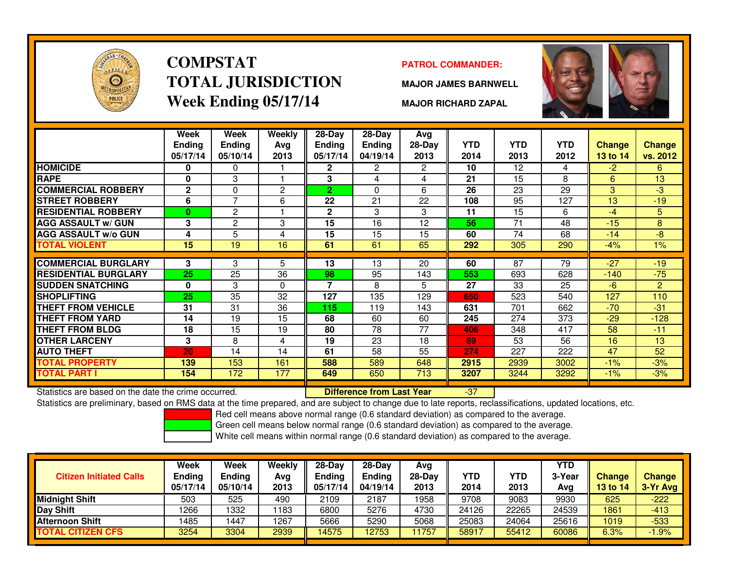

# **COMPSTATTOTAL JURISDICTIONWeek Ending 05/17/14**

#### **PATROL COMMANDER:**

**MAJOR JAMES BARNWELL**



**MAJOR RICHARD ZAPAL**

|                             | Week<br><b>Ending</b><br>05/17/14 | Week<br><b>Ending</b><br>05/10/14 | <b>Weekly</b><br>Avg<br>2013 | $28$ -Day<br>Ending<br>05/17/14 | $28 - Day$<br><b>Ending</b><br>04/19/14 | Avg<br>28-Day<br>2013 | <b>YTD</b><br>2014 | <b>YTD</b><br>2013 | <b>YTD</b><br>2012 | Change<br>13 to 14 | <b>Change</b><br>vs. 2012 |
|-----------------------------|-----------------------------------|-----------------------------------|------------------------------|---------------------------------|-----------------------------------------|-----------------------|--------------------|--------------------|--------------------|--------------------|---------------------------|
| <b>HOMICIDE</b>             | 0                                 | 0                                 |                              | $\mathbf{2}$                    | $\mathbf{2}$                            | $\mathbf{2}^{\circ}$  | 10                 | 12                 | 4                  | $-2$               | 6                         |
| <b>RAPE</b>                 | 0                                 | 3                                 |                              | 3                               | 4                                       | 4                     | 21                 | 15                 | 8                  | 6                  | 13                        |
| <b>COMMERCIAL ROBBERY</b>   | $\mathbf{2}$                      | $\Omega$                          | $\overline{c}$               | $\overline{2}$                  | $\Omega$                                | 6                     | 26                 | 23                 | 29                 | 3                  | -3                        |
| <b>STREET ROBBERY</b>       | 6                                 | 7                                 | 6                            | 22                              | 21                                      | 22                    | 108                | 95                 | 127                | 13                 | $-19$                     |
| <b>RESIDENTIAL ROBBERY</b>  | $\bf{0}$                          | 2                                 |                              | $\mathbf{2}$                    | 3                                       | 3                     | 11                 | 15                 | 6                  | $-4$               | 5                         |
| <b>AGG ASSAULT w/ GUN</b>   | 3                                 | $\mathbf{2}$                      | 3                            | 15                              | 16                                      | 12                    | 56                 | 71                 | 48                 | $-15$              | 8                         |
| <b>AGG ASSAULT w/o GUN</b>  | 4                                 | 5                                 | 4                            | 15                              | 15                                      | 15                    | 60                 | 74                 | 68                 | $-14$              | -8                        |
| <b>TOTAL VIOLENT</b>        | 15                                | 19                                | 16                           | 61                              | 61                                      | 65                    | 292                | 305                | 290                | $-4%$              | $1\%$                     |
|                             |                                   |                                   |                              |                                 |                                         |                       |                    |                    |                    |                    |                           |
| <b>COMMERCIAL BURGLARY</b>  | 3                                 | 3                                 | 5                            | 13                              | 13                                      | 20                    | 60                 | 87                 | 79                 | $-27$              | $-19$                     |
| <b>RESIDENTIAL BURGLARY</b> | 25                                | 25                                | 36                           | 98                              | 95                                      | 143                   | 553                | 693                | 628                | $-140$             | $-75$                     |
| <b>SUDDEN SNATCHING</b>     | $\bf{0}$                          | 3                                 | $\Omega$                     | 7                               | 8                                       | 5                     | 27                 | 33                 | 25                 | $-6$               | $\overline{2}$            |
| <b>SHOPLIFTING</b>          | 25                                | 35                                | 32                           | 127                             | 135                                     | 129                   | 650                | 523                | 540                | 127                | 110                       |
| <b>THEFT FROM VEHICLE</b>   | 31                                | 31                                | 36                           | 115                             | 119                                     | 143                   | 631                | 701                | 662                | $-70$              | $-31$                     |
| <b>THEFT FROM YARD</b>      | 14                                | 19                                | 15                           | 68                              | 60                                      | 60                    | 245                | 274                | 373                | $-29$              | $-128$                    |
| <b>THEFT FROM BLDG</b>      | 18                                | 15                                | 19                           | 80                              | 78                                      | 77                    | 406                | 348                | 417                | 58                 | $-11$                     |
| <b>OTHER LARCENY</b>        | 3                                 | 8                                 | 4                            | 19                              | 23                                      | 18                    | 69                 | 53                 | 56                 | 16                 | 13                        |
| <b>AUTO THEFT</b>           | 20                                | 14                                | 14                           | 61                              | 58                                      | 55                    | 274                | 227                | 222                | 47                 | 52                        |
| TOTAL PROPERTY              | 139                               | 153                               | 161                          | 588                             | 589                                     | 648                   | 2915               | 2939               | 3002               | $-1%$              | $-3%$                     |
| TOTAL PART I                | 154                               | 172                               | 177                          | 649                             | 650                                     | 713                   | 3207               | 3244               | 3292               | $-1\%$             | $-3%$                     |

Statistics are based on the date the crime occurred. **Difference from Last Year** 

Statistics are based on the date the crime occurred. **[89] Luite Luite Luiterence from Last Year [89] Statistics**<br>Statistics are preliminary, based on RMS data at the time prepared, and are subject to change due to late re

Red cell means above normal range (0.6 standard deviation) as compared to the average.

Green cell means below normal range (0.6 standard deviation) as compared to the average.

| <b>Citizen Initiated Calls</b> | Week<br><b>Ending</b><br>05/17/14 | <b>Week</b><br><b>Ending</b><br>05/10/14 | Weekly<br>Avg<br>2013 | $28-Dav$<br><b>Endina</b><br>05/17/14 | $28-Dav$<br><b>Ending</b><br>04/19/14 | Avg<br>28-Dav<br>2013 | <b>YTD</b><br>2014 | YTD<br>2013 | YTD<br>3-Year<br>Avg | <b>Change</b><br><b>13 to 14</b> | <b>Change</b><br>3-Yr Avg |
|--------------------------------|-----------------------------------|------------------------------------------|-----------------------|---------------------------------------|---------------------------------------|-----------------------|--------------------|-------------|----------------------|----------------------------------|---------------------------|
| <b>Midnight Shift</b>          | 503                               | 525                                      | 490                   | 2109                                  | 2187                                  | 1958                  | 9708               | 9083        | 9930                 | 625                              | $-222$                    |
| <b>Day Shift</b>               | 1266                              | 1332                                     | 1183                  | 6800                                  | 5276                                  | 4730                  | 24126              | 22265       | 24539                | 1861                             | $-413$                    |
| Afternoon Shift                | 1485                              | 447                                      | 1267                  | 5666                                  | 5290                                  | 5068                  | 25083              | 24064       | 25616                | 1019                             | $-533$                    |
| <b>TOTAL CITIZEN CFS</b>       | 3254                              | 3304                                     | 2939                  | 14575                                 | 12753                                 | 1757                  | 58917              | 55412       | 60086                | 6.3%                             | $1.9\%$                   |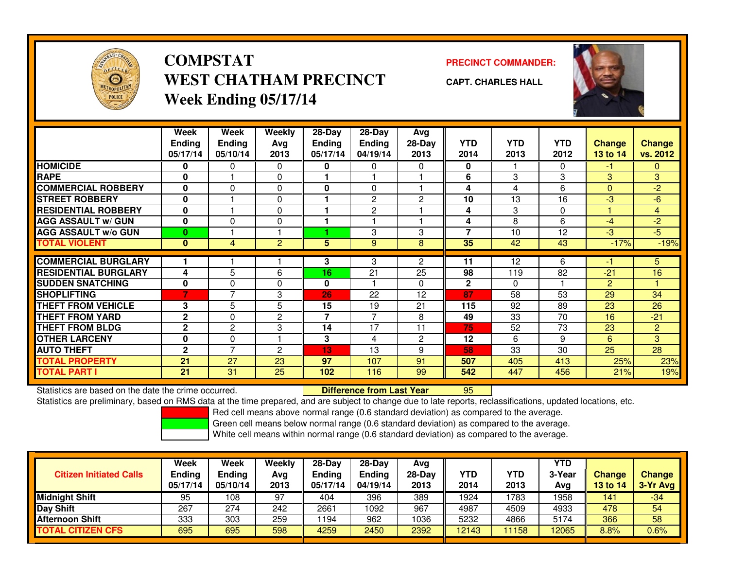

# **COMPSTATWEST CHATHAM PRECINCTWeek Ending 05/17/14**

**PRECINCT COMMANDER:**



**CAPT. CHARLES HALL**

|                             | Week<br><b>Ending</b><br>05/17/14 | Week<br><b>Ending</b><br>05/10/14 | Weekly<br>Avg<br>2013 | $28 - Day$<br><b>Ending</b><br>05/17/14 | $28 - Day$<br><b>Ending</b><br>04/19/14 | Avg<br>$28-Day$<br>2013 | <b>YTD</b><br>2014 | <b>YTD</b><br>2013 | <b>YTD</b><br>2012 | <b>Change</b><br><b>13 to 14</b> | <b>Change</b><br>vs. 2012 |
|-----------------------------|-----------------------------------|-----------------------------------|-----------------------|-----------------------------------------|-----------------------------------------|-------------------------|--------------------|--------------------|--------------------|----------------------------------|---------------------------|
| <b>HOMICIDE</b>             | 0                                 | $\Omega$                          | 0                     | 0                                       | 0                                       | 0                       | 0                  |                    | 0                  | -1                               | 0                         |
| <b>RAPE</b>                 | 0                                 |                                   | 0                     |                                         |                                         |                         | 6                  | 3                  | 3                  | 3                                | 3                         |
| <b>COMMERCIAL ROBBERY</b>   | 0                                 | 0                                 | 0                     | 0                                       | 0                                       |                         | 4                  | 4                  | 6                  | $\Omega$                         | $-2$                      |
| <b>STREET ROBBERY</b>       | 0                                 |                                   | 0                     |                                         | $\overline{2}$                          | 2                       | 10                 | 13                 | 16                 | -3                               | $-6$                      |
| <b>RESIDENTIAL ROBBERY</b>  | 0                                 |                                   | 0                     |                                         | 2                                       |                         | 4                  | 3                  | 0                  |                                  | 4                         |
| <b>AGG ASSAULT w/ GUN</b>   | 0                                 | $\Omega$                          | 0                     | 1                                       |                                         | и                       | 4                  | 8                  | 6                  | $-4$                             | $-2$                      |
| <b>AGG ASSAULT w/o GUN</b>  | $\bf{0}$                          |                                   |                       |                                         | 3                                       | 3                       | $\overline{7}$     | 10                 | 12                 | $-3$                             | $-5$                      |
| <b>TOTAL VIOLENT</b>        | $\mathbf{0}$                      | $\overline{4}$                    | $\overline{2}$        | 5                                       | 9                                       | 8                       | 35                 | 42                 | 43                 | $-17%$                           | $-19%$                    |
|                             |                                   |                                   |                       |                                         |                                         |                         |                    |                    |                    |                                  |                           |
| <b>COMMERCIAL BURGLARY</b>  |                                   |                                   |                       | 3                                       | 3                                       | $\overline{2}$          | 11                 | 12                 | 6                  | -1                               | 5                         |
| <b>RESIDENTIAL BURGLARY</b> | 4                                 | 5                                 | 6                     | 16                                      | 21                                      | 25                      | 98                 | 119                | 82                 | $-21$                            | 16                        |
| <b>SUDDEN SNATCHING</b>     | 0                                 | 0                                 | 0                     | 0                                       |                                         | 0                       | $\mathbf{2}$       | $\Omega$           |                    | 2                                |                           |
| <b>SHOPLIFTING</b>          | 7                                 | $\overline{ }$                    | 3                     | 26                                      | 22                                      | 12                      | 87                 | 58                 | 53                 | 29                               | 34                        |
| <b>THEFT FROM VEHICLE</b>   | 3                                 | 5                                 | 5                     | 15                                      | 19                                      | 21                      | 115                | 92                 | 89                 | 23                               | 26                        |
| <b>THEFT FROM YARD</b>      | $\mathbf{2}$                      | $\Omega$                          | $\overline{c}$        | 7                                       | 7                                       | 8                       | 49                 | 33                 | 70                 | 16                               | $-21$                     |
| <b>THEFT FROM BLDG</b>      | $\mathbf 2$                       | 2                                 | 3                     | 14                                      | 17                                      | 11                      | 75                 | 52                 | 73                 | 23                               | $\overline{2}$            |
| <b>OTHER LARCENY</b>        | 0                                 | 0                                 |                       | 3                                       | 4                                       | 2                       | 12                 | 6                  | 9                  | 6                                | 3                         |
| <b>AUTO THEFT</b>           | $\mathbf{2}$                      | 7                                 | $\overline{c}$        | 13                                      | 13                                      | 9                       | 58                 | 33                 | 30                 | 25                               | 28                        |
| <b>TOTAL PROPERTY</b>       | 21                                | 27                                | 23                    | 97                                      | 107                                     | 91                      | 507                | 405                | 413                | 25%                              | 23%                       |
| <b>TOTAL PART I</b>         | 21                                | 31                                | 25                    | 102                                     | 116                                     | 99                      | 542                | 447                | 456                | 21%                              | 19%                       |

Statistics are based on the date the crime occurred. **Difference from Last Year** 

Statistics are based on the date the crime occurred. **Difference from Last Year 195 htm**<br>Statistics are preliminary, based on RMS data at the time prepared, and are subject to change due to late reports, reclassifications,

Red cell means above normal range (0.6 standard deviation) as compared to the average.

Green cell means below normal range (0.6 standard deviation) as compared to the average.

| <b>Citizen Initiated Calls</b> | Week<br>Ending<br>05/17/14 | Week<br>Ending<br>05/10/14 | Weekly<br>Avg<br>2013 | $28-Day$<br><b>Ending</b><br>05/17/14 | $28-Dav$<br><b>Ending</b><br>04/19/14 | Avg<br>28-Day<br>2013 | YTD<br>2014 | YTD<br>2013 | YTD<br>3-Year<br>Avg | Change<br><b>13 to 14</b> | <b>Change</b><br>3-Yr Avg |
|--------------------------------|----------------------------|----------------------------|-----------------------|---------------------------------------|---------------------------------------|-----------------------|-------------|-------------|----------------------|---------------------------|---------------------------|
| <b>Midnight Shift</b>          | 95                         | 108                        | 97                    | 404                                   | 396                                   | 389                   | 1924        | 1783        | 1958                 | 141                       | $-34$                     |
| Day Shift                      | 267                        | 274                        | 242                   | 2661                                  | 1092                                  | 967                   | 4987        | 4509        | 4933                 | 478                       | 54                        |
| <b>Afternoon Shift</b>         | 333                        | 303                        | 259                   | ' 194                                 | 962                                   | 1036                  | 5232        | 4866        | 5174                 | 366                       | 58                        |
| <b>TOTAL CITIZEN CFS</b>       | 695                        | 695                        | 598                   | 4259                                  | 2450                                  | 2392                  | 12143       | 11158       | 12065                | 8.8%                      | 0.6%                      |

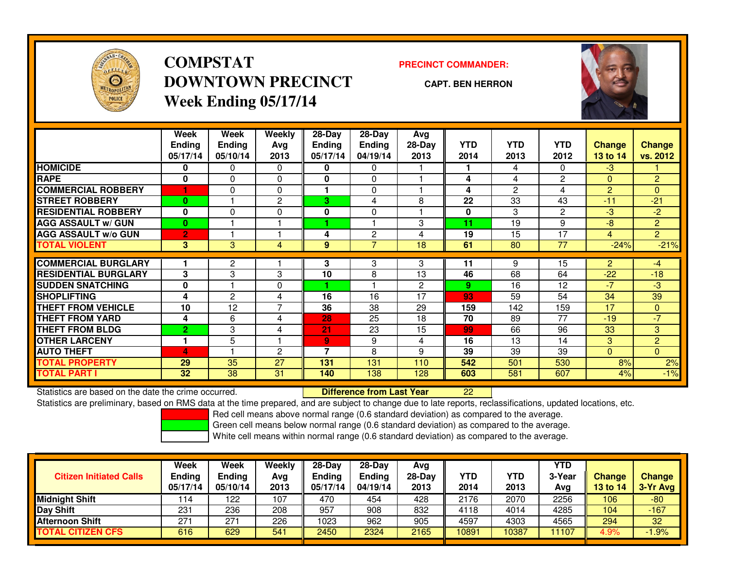

# **COMPSTATDOWNTOWN PRECINCTWeek Ending 05/17/14**

**PRECINCT COMMANDER:**

**CAPT. BEN HERRON**

<sup>22</sup>

|                             | Week<br><b>Ending</b><br>05/17/14 | Week<br><b>Ending</b><br>05/10/14 | Weekly<br>Avg<br>2013 | $28 - Day$<br><b>Ending</b><br>05/17/14 | $28$ -Day<br>Ending<br>04/19/14 | Avg<br>$28-Day$<br>2013 | <b>YTD</b><br>2014 | <b>YTD</b><br>2013 | <b>YTD</b><br>2012 | <b>Change</b><br><b>13 to 14</b> | <b>Change</b><br>vs. 2012 |
|-----------------------------|-----------------------------------|-----------------------------------|-----------------------|-----------------------------------------|---------------------------------|-------------------------|--------------------|--------------------|--------------------|----------------------------------|---------------------------|
| <b>HOMICIDE</b>             | 0                                 | 0                                 | 0                     | 0                                       | 0                               |                         |                    | 4                  | 0                  | $-3$                             |                           |
| <b>RAPE</b>                 | 0                                 | 0                                 | 0                     | 0                                       | 0                               |                         | 4                  | 4                  | 2                  | $\mathbf{0}$                     | $\overline{c}$            |
| <b>COMMERCIAL ROBBERY</b>   |                                   | 0                                 | $\Omega$              |                                         | $\Omega$                        |                         | 4                  | 2                  | 4                  | 2                                | $\Omega$                  |
| <b>STREET ROBBERY</b>       | $\bf{0}$                          |                                   | $\mathbf{2}$          | 3                                       | 4                               | 8                       | 22                 | 33                 | 43                 | $-11$                            | $-21$                     |
| <b>RESIDENTIAL ROBBERY</b>  | 0                                 | 0                                 | 0                     | $\bf{0}$                                | 0                               |                         | 0                  | 3                  | $\overline{c}$     | -3                               | $-2$                      |
| <b>AGG ASSAULT w/ GUN</b>   | $\bf{0}$                          |                                   |                       |                                         |                                 | 3                       | 11                 | 19                 | 9                  | -8                               | $\overline{2}$            |
| <b>AGG ASSAULT w/o GUN</b>  | $\overline{2}$                    |                                   |                       | 4                                       | 2                               | 4                       | 19                 | 15                 | 17                 | $\overline{4}$                   | $\overline{2}$            |
| <b>TOTAL VIOLENT</b>        | 3                                 | 3                                 | 4                     | 9                                       | $\overline{7}$                  | 18                      | 61                 | 80                 | 77                 | $-24%$                           | $-21%$                    |
| <b>COMMERCIAL BURGLARY</b>  | 1                                 | $\overline{2}$                    |                       | 3                                       | 3                               | 3                       | 11                 | 9                  | 15                 | 2                                | $-4$                      |
| <b>RESIDENTIAL BURGLARY</b> | 3                                 | 3                                 | 3                     | 10                                      | 8                               | 13                      | 46                 | 68                 | 64                 | $-22$                            | $-18$                     |
| <b>SUDDEN SNATCHING</b>     | 0                                 |                                   | $\Omega$              |                                         |                                 | 2                       | 9                  | 16                 | 12                 | -7                               | $-3$                      |
| <b>SHOPLIFTING</b>          | 4                                 | $\overline{2}$                    | 4                     | 16                                      | 16                              | 17                      | 93                 | 59                 | 54                 | 34                               | 39                        |
| <b>THEFT FROM VEHICLE</b>   | 10                                | 12                                | $\overline{7}$        | 36                                      | 38                              | 29                      | 159                | 142                | 159                | 17                               | $\mathbf{0}$              |
| <b>THEFT FROM YARD</b>      | 4                                 | 6                                 | 4                     | 28                                      | 25                              | 18                      | 70                 | 89                 | 77                 | $-19$                            | $-7$                      |
| <b>THEFT FROM BLDG</b>      |                                   |                                   |                       |                                         |                                 |                         |                    |                    | 96                 |                                  |                           |
|                             | 2                                 | 3                                 | 4                     | 21                                      | 23                              | 15                      | 99                 | 66                 |                    | 33                               | 3 <sup>1</sup>            |
| <b>OTHER LARCENY</b>        | 1                                 | 5                                 |                       | 9<br>⇁                                  | 9                               | 4                       | 16                 | 13                 | 14                 | 3                                | $\overline{2}$            |
| <b>AUTO THEFT</b>           | 4                                 |                                   | 2                     |                                         | 8                               | 9                       | 39                 | 39                 | 39                 | $\mathbf{0}$                     | $\overline{0}$            |
| <b>TOTAL PROPERTY</b>       | 29                                | 35                                | 27                    | 131                                     | 131                             | 110                     | 542                | 501                | 530                | 8%                               | 2%                        |
| <b>TOTAL PART I</b>         | 32                                | 38                                | 31                    | 140                                     | 138                             | 128                     | 603                | 581                | 607                | 4%                               | $-1%$                     |

Statistics are based on the date the crime occurred. **Difference from Last Year** 

Statistics are preliminary, based on RMS data at the time prepared, and are subject to change due to late reports, reclassifications, updated locations, etc.

Red cell means above normal range (0.6 standard deviation) as compared to the average.

Green cell means below normal range (0.6 standard deviation) as compared to the average.

| <b>Citizen Initiated Calls</b> | Week<br>Ending<br>05/17/14 | Week<br><b>Ending</b><br>05/10/14 | Weekly<br>Avg<br>2013 | $28-Day$<br><b>Endina</b><br>05/17/14 | $28-Dav$<br><b>Ending</b><br>04/19/14 | Avg<br>$28-Dav$<br>2013 | <b>YTD</b><br>2014 | <b>YTD</b><br>2013 | YTD<br>3-Year<br>Avg | Change<br>13 to 14 | <b>Change</b><br>3-Yr Avg |
|--------------------------------|----------------------------|-----------------------------------|-----------------------|---------------------------------------|---------------------------------------|-------------------------|--------------------|--------------------|----------------------|--------------------|---------------------------|
| Midnight Shift                 | 114                        | 122                               | 107                   | 470                                   | 454                                   | 428                     | 2176               | 2070               | 2256                 | 106                | $-80$                     |
| Day Shift                      | 231                        | 236                               | 208                   | 957                                   | 908                                   | 832                     | 4118               | 4014               | 4285                 | 104                | $-167$                    |
| <b>Afternoon Shift</b>         | 271                        | 271                               | 226                   | 1023                                  | 962                                   | 905                     | 4597               | 4303               | 4565                 | 294                | 32                        |
| <b>TOTAL CITIZEN CFS</b>       | 616                        | 629                               | 541                   | 2450                                  | 2324                                  | 2165                    | 10891              | 10387              | 11107                | 4.9%               | $-1.9%$                   |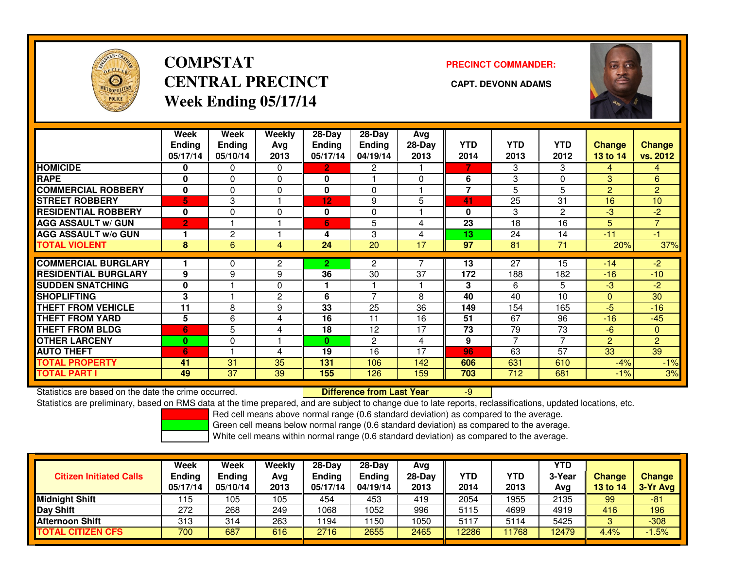

# **COMPSTATCENTRAL PRECINCT CAPT. DEVONN ADAMSWeek Ending 05/17/14**

**PRECINCT COMMANDER:**



|                             | Week           | Week          | Weekly   | 28-Day        | $28-Day$       | Avg      |            |            |                |                |                |
|-----------------------------|----------------|---------------|----------|---------------|----------------|----------|------------|------------|----------------|----------------|----------------|
|                             | Ending         | <b>Ending</b> | Avg      | <b>Ending</b> | Ending         | $28-Day$ | <b>YTD</b> | <b>YTD</b> | <b>YTD</b>     | <b>Change</b>  | <b>Change</b>  |
|                             | 05/17/14       | 05/10/14      | 2013     | 05/17/14      | 04/19/14       | 2013     | 2014       | 2013       | 2012           | 13 to 14       | vs. 2012       |
| <b>HOMICIDE</b>             | 0              | 0             | $\Omega$ | $\mathbf{2}$  | $\overline{2}$ |          | 7          | 3          | 3              | 4              | $\overline{4}$ |
| <b>RAPE</b>                 | $\bf{0}$       | 0             | $\Omega$ | 0             |                | $\Omega$ | 6          | 3          | 0              | 3              | 6              |
| <b>COMMERCIAL ROBBERY</b>   | $\mathbf{0}$   | $\Omega$      | $\Omega$ | $\mathbf{0}$  | $\Omega$       |          | 7          | 5          | 5              | $\overline{2}$ | $\overline{2}$ |
| <b>STREET ROBBERY</b>       | 5              | 3             |          | 12            | 9              | 5        | 41         | 25         | 31             | 16             | 10             |
| <b>RESIDENTIAL ROBBERY</b>  | $\bf{0}$       | $\Omega$      | $\Omega$ | $\bf{0}$      | $\Omega$       |          | 0          | 3          | $\overline{2}$ | -3             | $-2$           |
| <b>AGG ASSAULT w/ GUN</b>   | $\overline{2}$ |               |          | 6             | 5              | 4        | 23         | 18         | 16             | 5              | $\overline{7}$ |
| <b>AGG ASSAULT w/o GUN</b>  |                | $\mathbf{2}$  |          | 4             | 3              | 4        | 13         | 24         | 14             | $-11$          | $-1$           |
| <b>TOTAL VIOLENT</b>        | 8              | 6             | 4        | 24            | 20             | 17       | 97         | 81         | 71             | 20%            | 37%            |
| <b>COMMERCIAL BURGLARY</b>  |                | 0             | 2        | $\mathbf{2}$  | 2              |          | 13         | 27         | 15             | $-14$          | $-2$           |
| <b>RESIDENTIAL BURGLARY</b> | 9              | 9             | 9        | 36            | 30             | 37       | 172        | 188        | 182            | $-16$          | $-10$          |
| <b>SUDDEN SNATCHING</b>     | $\mathbf 0$    |               | $\Omega$ |               |                |          | 3          | 6          | 5              | -3             | $-2$           |
| <b>SHOPLIFTING</b>          | 3              |               | 2        | 6             | 7              | 8        | 40         | 40         | 10             | $\Omega$       | 30             |
| <b>THEFT FROM VEHICLE</b>   | 11             | 8             | 9        | 33            | 25             | 36       | 149        | 154        | 165            | -5             | $-16$          |
| <b>THEFT FROM YARD</b>      | 5              | 6             | 4        | 16            | 11             | 16       | 51         | 67         | 96             | $-16$          | $-45$          |
| <b>THEFT FROM BLDG</b>      | 6              | 5             | 4        | 18            | 12             | 17       | 73         | 79         | 73             | $-6$           | $\Omega$       |
| <b>OTHER LARCENY</b>        | 0              | 0             |          | $\mathbf{0}$  | $\overline{2}$ | 4        | 9          | 7          | 7              | $\overline{2}$ | $\overline{2}$ |
| <b>AUTO THEFT</b>           | 6              |               | 4        | 19            | 16             | 17       | 96         | 63         | 57             | 33             | 39             |
| <b>TOTAL PROPERTY</b>       | 41             | 31            | 35       | 131           | 106            | 142      | 606        | 631        | 610            | $-4%$          | $-1%$          |
| <b>TOTAL PART I</b>         | 49             | 37            | 39       | 155           | 126            | 159      | 703        | 712        | 681            | $-1%$          | 3%             |

Statistics are based on the date the crime occurred. **Difference from Last Year** 

Statistics are based on the date the crime occurred. **Difference from Last Year Namel Accord Para** and are subject<br>Statistics are preliminary, based on RMS data at the time prepared, and are subject to change due to late r

Red cell means above normal range (0.6 standard deviation) as compared to the average.

Green cell means below normal range (0.6 standard deviation) as compared to the average.

| <b>Citizen Initiated Calls</b> | <b>Ending</b><br>05/17/14 | <b>Ending</b><br>05/10/14 | Avg<br>2013 | <b>Endina</b><br>05/17/14 | $28-Dav$<br>Ending<br>04/19/14 | Avg<br>$28-Day$<br>2013 | <b>YTD</b><br>2014 | YTD<br>2013 | 3-Year<br>Avg | <b>Change</b><br>13 to 14 | <b>Change</b><br>3-Yr Avg |
|--------------------------------|---------------------------|---------------------------|-------------|---------------------------|--------------------------------|-------------------------|--------------------|-------------|---------------|---------------------------|---------------------------|
| <b>Midnight Shift</b>          | 115                       | 105                       | 105         | 454                       | 453                            | 419                     | 2054               | 1955        | 2135          | 99                        | -81                       |
| Day Shift                      | 272                       | 268                       | 249         | 1068                      | 1052                           | 996                     | 5115               | 4699        | 4919          | 416                       | 196                       |
| Afternoon Shift                | 313                       | 314                       | 263         | 1194                      | 150                            | 1050                    | 5117               | 5114        | 5425          | ∘                         | $-308$                    |
| <b>TOTAL CITIZEN CFS</b>       | 700                       | 687                       | 616         | 2716                      | 2655                           | 2465                    | 12286              | 1768        | 12479         | 4.4%                      | $1.5\%$                   |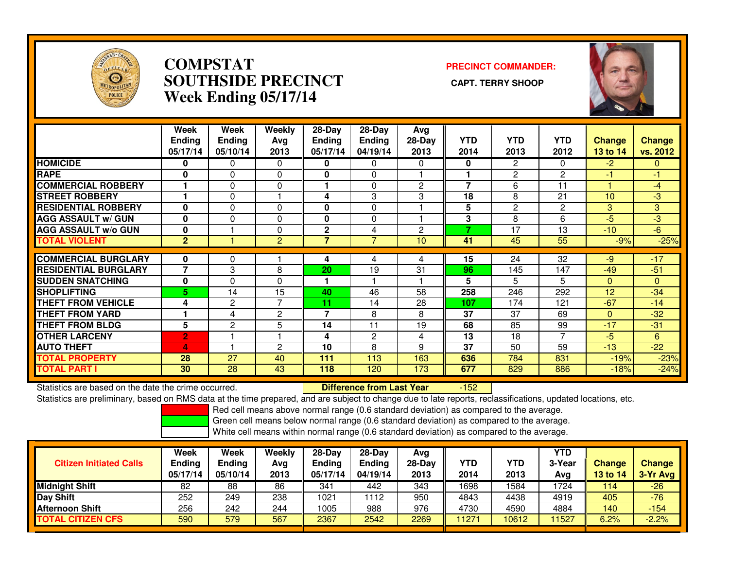

#### **COMPSTAT PRECINCT COMMANDER: SOUTHSIDE PRECINCT CAPT. TERRY SHOOPWeek Ending 05/17/14**



|                             | Week<br><b>Ending</b><br>05/17/14 | Week<br><b>Ending</b><br>05/10/14 | Weekly<br>Avg<br>2013 | 28-Day<br>Ending<br>05/17/14 | $28-Day$<br><b>Ending</b><br>04/19/14 | Avg<br>$28-Day$<br>2013 | <b>YTD</b><br>2014 | <b>YTD</b><br>2013 | <b>YTD</b><br>2012 | Change<br><b>13 to 14</b> | <b>Change</b><br>vs. 2012 |
|-----------------------------|-----------------------------------|-----------------------------------|-----------------------|------------------------------|---------------------------------------|-------------------------|--------------------|--------------------|--------------------|---------------------------|---------------------------|
| <b>HOMICIDE</b>             | 0                                 | $\mathbf{0}$                      | $\Omega$              | $\bf{0}$                     | $\Omega$                              | $\Omega$                | 0                  | 2                  | 0                  | $-2$                      | $\Omega$                  |
| <b>RAPE</b>                 | 0                                 | $\Omega$                          | 0                     | 0                            | 0                                     |                         |                    | $\overline{c}$     | 2                  | -1                        | $-1$                      |
| <b>COMMERCIAL ROBBERY</b>   |                                   | $\Omega$                          | $\Omega$              | н                            | 0                                     | $\overline{2}$          | 7                  | 6                  | 11                 |                           | -4                        |
| <b>ISTREET ROBBERY</b>      |                                   | $\Omega$                          |                       | 4                            | 3                                     | 3                       | 18                 | 8                  | 21                 | 10                        | $-3$                      |
| <b>RESIDENTIAL ROBBERY</b>  | 0                                 | $\Omega$                          | $\Omega$              | $\bf{0}$                     | 0                                     |                         | 5                  | 2                  | $\overline{2}$     | 3                         | 3                         |
| <b>AGG ASSAULT w/ GUN</b>   | 0                                 | $\Omega$                          | 0                     | 0                            | 0                                     |                         | 3                  | 8                  | 6                  | -5                        | -3                        |
| <b>AGG ASSAULT w/o GUN</b>  | 0                                 |                                   | 0                     | $\mathbf{2}$                 | 4                                     | $\overline{c}$          | 7                  | 17                 | 13                 | $-10^{-}$                 | $-6$                      |
| <b>TOTAL VIOLENT</b>        | $\mathbf{2}$                      |                                   | $\overline{2}$        | $\overline{7}$               | 7                                     | 10                      | 41                 | 45                 | 55                 | $-9%$                     | $-25%$                    |
| <b>COMMERCIAL BURGLARY</b>  | 0                                 | $\Omega$                          |                       | 4                            | 4                                     | 4                       | 15                 | 24                 | 32                 | -9                        | $-17$                     |
| <b>RESIDENTIAL BURGLARY</b> | 7                                 | 3                                 | 8                     | 20                           | 19                                    | 31                      | 96                 | 145                | 147                | $-49$                     | $-51$                     |
| <b>ISUDDEN SNATCHING</b>    | 0                                 | $\Omega$                          | $\Omega$              |                              |                                       |                         | 5                  | 5                  | 5                  |                           | $\Omega$                  |
|                             |                                   |                                   |                       |                              |                                       |                         |                    |                    |                    | $\Omega$                  |                           |
| <b>SHOPLIFTING</b>          | 5                                 | 14                                | 15                    | 40                           | 46                                    | 58                      | 258                | 246                | 292                | 12                        | $-34$                     |
| <b>THEFT FROM VEHICLE</b>   | 4                                 | $\overline{2}$                    | 7                     | 11                           | 14                                    | 28                      | 107                | 174                | 121                | $-67$                     | $-14$                     |
| <b>THEFT FROM YARD</b>      |                                   | 4                                 | $\overline{c}$        | 7                            | 8                                     | 8                       | 37                 | 37                 | 69                 | $\mathbf{0}$              | $-32$                     |
| <b>THEFT FROM BLDG</b>      | 5                                 | $\overline{c}$                    | 5                     | 14                           | 11                                    | 19                      | 68                 | 85                 | 99                 | $-17$                     | $-31$                     |
| <b>OTHER LARCENY</b>        | $\overline{2}$                    |                                   |                       | 4                            | 2                                     | 4                       | 13                 | 18                 | 7                  | -5                        | 6                         |
| <b>AUTO THEFT</b>           | 4                                 |                                   | 2                     | 10                           | 8                                     | 9                       | 37                 | 50                 | 59                 | $-13$                     | $-22$                     |
| <b>TOTAL PROPERTY</b>       | 28                                | 27                                | 40                    | 111                          | 113                                   | 163                     | 636                | 784                | 831                | $-19%$                    | $-23%$                    |
| <b>TOTAL PART I</b>         | 30                                | 28                                | 43                    | 118                          | 120                                   | 173                     | 677                | 829                | 886                | $-18%$                    | $-24%$                    |

Statistics are based on the date the crime occurred. **Difference from Last Year** 

 $-152$ 

Statistics are preliminary, based on RMS data at the time prepared, and are subject to change due to late reports, reclassifications, updated locations, etc.

Red cell means above normal range (0.6 standard deviation) as compared to the average.

Green cell means below normal range (0.6 standard deviation) as compared to the average.

| <b>Citizen Initiated Calls</b> | Week<br><b>Ending</b><br>05/17/14 | Week<br><b>Ending</b><br>05/10/14 | Weekly<br>Avg<br>2013 | $28-Day$<br><b>Ending</b><br>05/17/14 | $28$ -Day<br><b>Ending</b><br>04/19/14 | Avg<br>$28-Dav$<br>2013 | YTD<br>2014 | YTD<br>2013 | YTD<br>3-Year<br>Avg | <b>Change</b><br>13 to 14 | <b>Change</b><br>3-Yr Avg |
|--------------------------------|-----------------------------------|-----------------------------------|-----------------------|---------------------------------------|----------------------------------------|-------------------------|-------------|-------------|----------------------|---------------------------|---------------------------|
| <b>Midnight Shift</b>          | 82                                | 88                                | 86                    | 341                                   | 442                                    | 343                     | 1698        | 1584        | 1724                 | 114                       | $-26$                     |
| <b>Day Shift</b>               | 252                               | 249                               | 238                   | 1021                                  | 112                                    | 950                     | 4843        | 4438        | 4919                 | 405                       | $-76$                     |
| <b>Afternoon Shift</b>         | 256                               | 242                               | 244                   | 1005                                  | 988                                    | 976                     | 4730        | 4590        | 4884                 | 140                       | $-154$                    |
| <b>TOTAL CITIZEN CFS</b>       | 590                               | 579                               | 567                   | 2367                                  | 2542                                   | 2269                    | 11271       | 10612       | 1527                 | 6.2%                      | $-2.2%$                   |